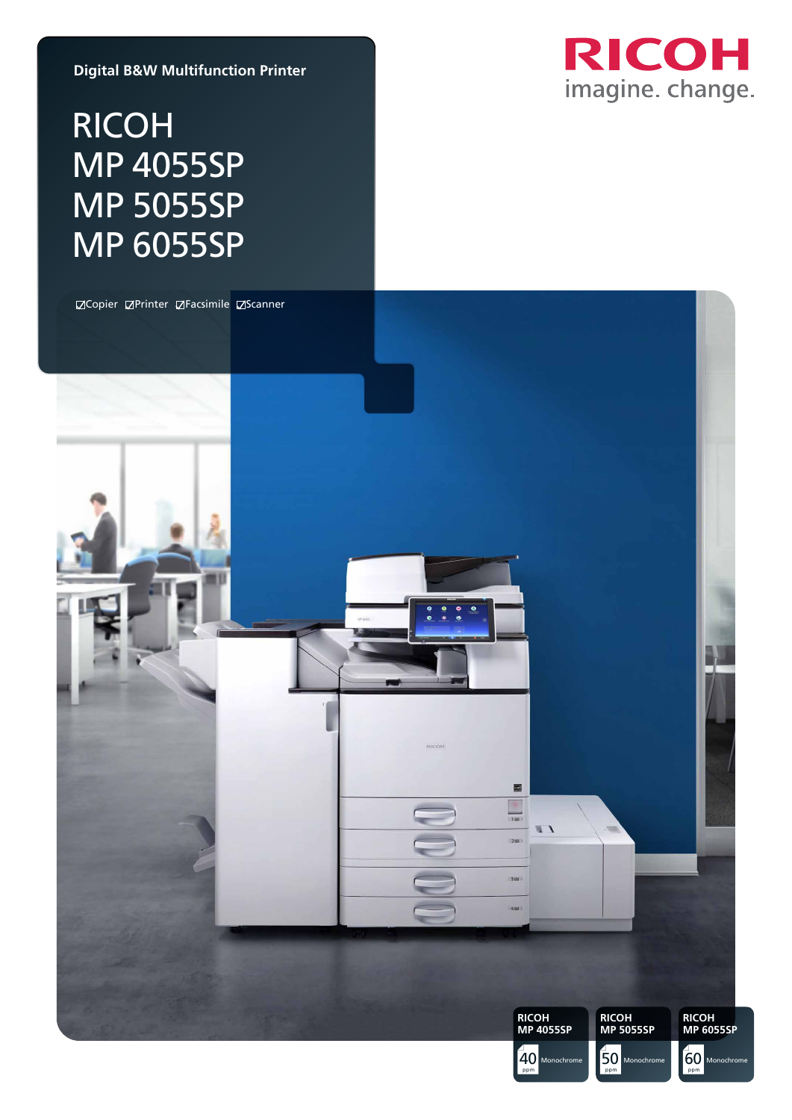**Digital B&W Multifunction Printer**

# RICOH MP 4055SP MP 5055SP MP 6055SP



ppm

ppm

ppm

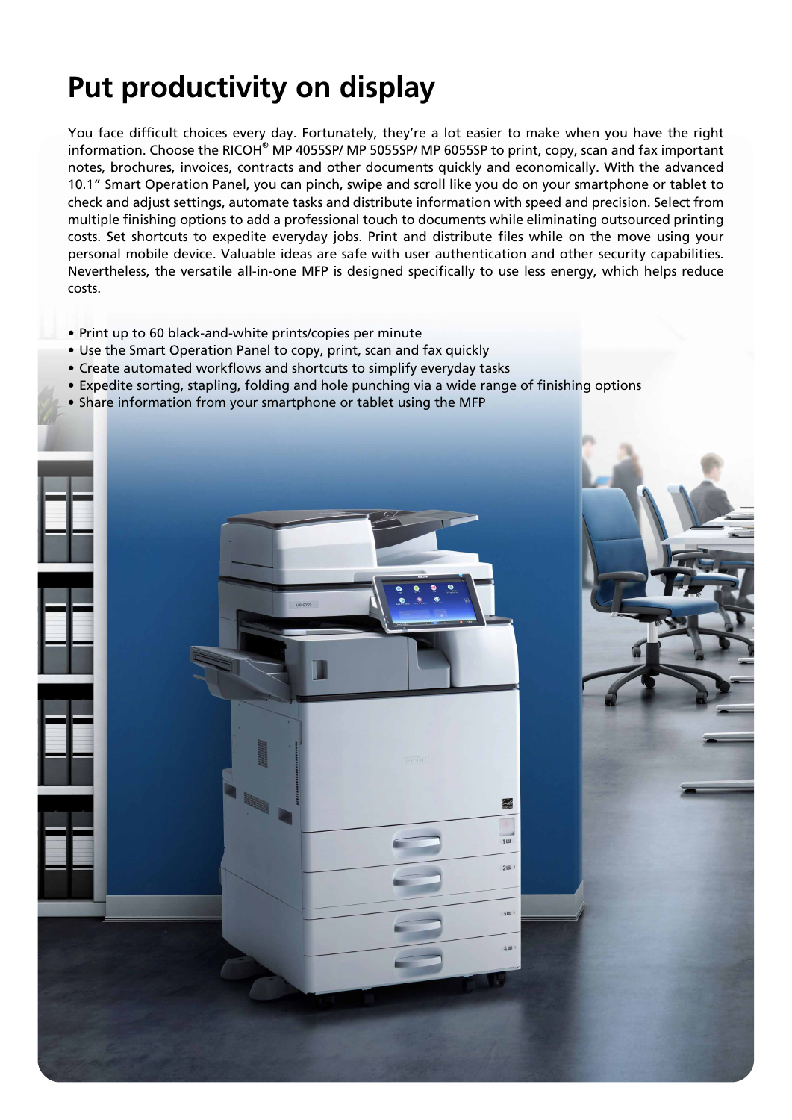# **Put productivity on display**

You face difficult choices every day. Fortunately, they're a lot easier to make when you have the right information. Choose the RICOH<sup>®</sup> MP 4055SP/ MP 5055SP/ MP 6055SP to print, copy, scan and fax important notes, brochures, invoices, contracts and other documents quickly and economically. With the advanced 10.1" Smart Operation Panel, you can pinch, swipe and scroll like you do on your smartphone or tablet to check and adjust settings, automate tasks and distribute information with speed and precision. Select from multiple finishing options to add a professional touch to documents while eliminating outsourced printing costs. Set shortcuts to expedite everyday jobs. Print and distribute files while on the move using your personal mobile device. Valuable ideas are safe with user authentication and other security capabilities. Nevertheless, the versatile all-in-one MFP is designed specifically to use less energy, which helps reduce costs.

- Print up to 60 black-and-white prints/copies per minute
- Use the Smart Operation Panel to copy, print, scan and fax quickly
- Create automated workflows and shortcuts to simplify everyday tasks
- Expedite sorting, stapling, folding and hole punching via a wide range of finishing options
- Share information from your smartphone or tablet using the MFP

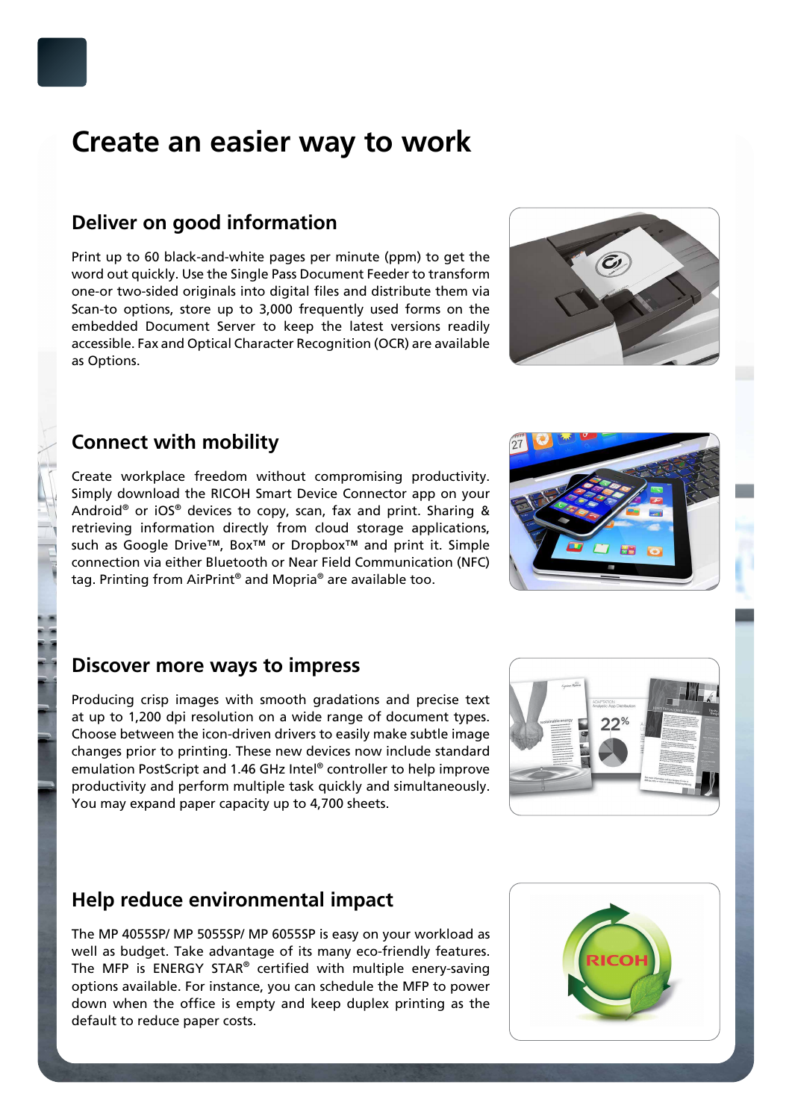## **Create an easier way to work**

#### **Deliver on good information**

Print up to 60 black-and-white pages per minute (ppm) to get the word out quickly. Use the Single Pass Document Feeder to transform one-or two-sided originals into digital files and distribute them via Scan-to options, store up to 3,000 frequently used forms on the embedded Document Server to keep the latest versions readily accessible. Fax and Optical Character Recognition (OCR) are available as Options.

## **Connect with mobility**

Create workplace freedom without compromising productivity. Simply download the RICOH Smart Device Connector app on your Android® or iOS® devices to copy, scan, fax and print. Sharing & retrieving information directly from cloud storage applications, such as Google Drive™, Box™ or Dropbox™ and print it. Simple connection via either Bluetooth or Near Field Communication (NFC) tag. Printing from AirPrint® and Mopria® are available too.

#### **Discover more ways to impress**

Producing crisp images with smooth gradations and precise text at up to 1,200 dpi resolution on a wide range of document types. Choose between the icon-driven drivers to easily make subtle image changes prior to printing. These new devices now include standard emulation PostScript and 1.46 GHz Intel® controller to help improve productivity and perform multiple task quickly and simultaneously. You may expand paper capacity up to 4,700 sheets.

### **Help reduce environmental impact**

The MP 4055SP/ MP 5055SP/ MP 6055SP is easy on your workload as well as budget. Take advantage of its many eco-friendly features. The MFP is ENERGY STAR<sup>®</sup> certified with multiple enery-saving options available. For instance, you can schedule the MFP to power down when the office is empty and keep duplex printing as the default to reduce paper costs.











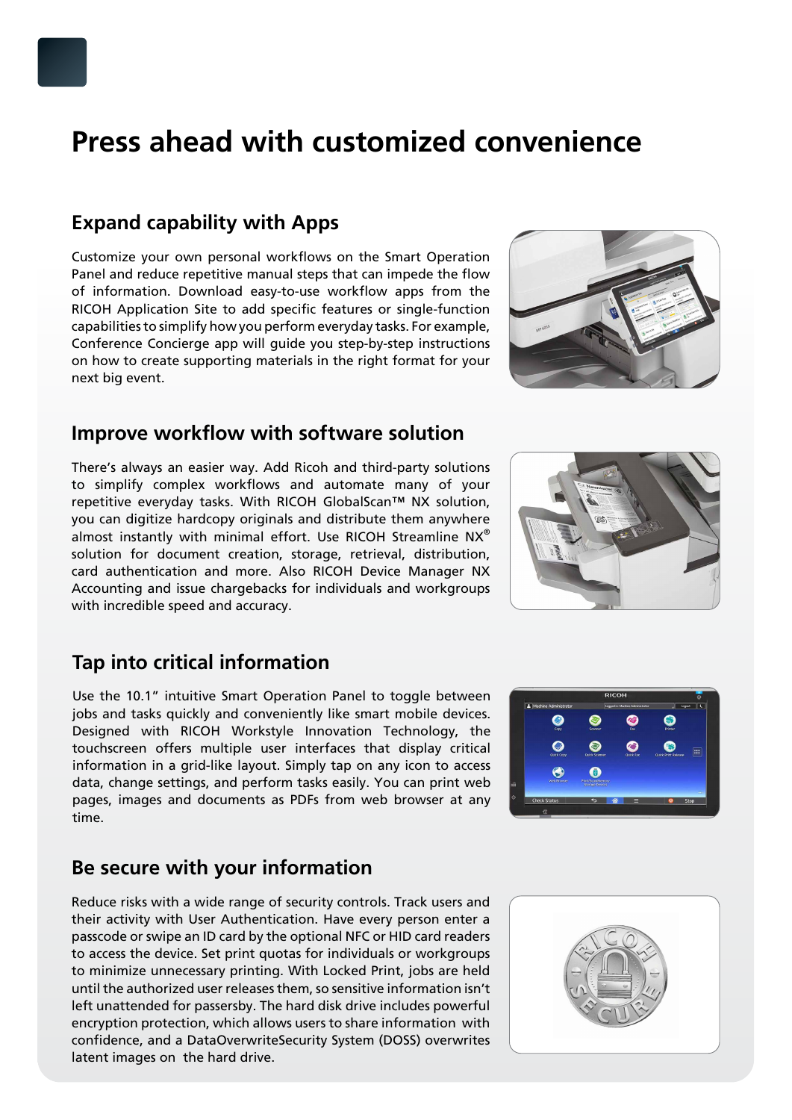## **Press ahead with customized convenience**

#### **Expand capability with Apps**

Customize your own personal workflows on the Smart Operation Panel and reduce repetitive manual steps that can impede the flow of information. Download easy-to-use workflow apps from the RICOH Application Site to add specific features or single-function capabilities to simplify how you perform everyday tasks. For example, Conference Concierge app will guide you step-by-step instructions on how to create supporting materials in the right format for your next big event.

#### **Improve workflow with software solution**

There's always an easier way. Add Ricoh and third-party solutions to simplify complex workflows and automate many of your repetitive everyday tasks. With RICOH GlobalScan™ NX solution, you can digitize hardcopy originals and distribute them anywhere almost instantly with minimal effort. Use RICOH Streamline NX® solution for document creation, storage, retrieval, distribution, card authentication and more. Also RICOH Device Manager NX Accounting and issue chargebacks for individuals and workgroups with incredible speed and accuracy.

### **Tap into critical information**

Use the 10.1" intuitive Smart Operation Panel to toggle between jobs and tasks quickly and conveniently like smart mobile devices. Designed with RICOH Workstyle Innovation Technology, the touchscreen offers multiple user interfaces that display critical information in a grid-like layout. Simply tap on any icon to access data, change settings, and perform tasks easily. You can print web pages, images and documents as PDFs from web browser at any time.

### **Be secure with your information**

Reduce risks with a wide range of security controls. Track users and their activity with User Authentication. Have every person enter a passcode or swipe an ID card by the optional NFC or HID card readers to access the device. Set print quotas for individuals or workgroups to minimize unnecessary printing. With Locked Print, jobs are held until the authorized user releases them, so sensitive information isn't left unattended for passersby. The hard disk drive includes powerful encryption protection, which allows users to share information with confidence, and a DataOverwriteSecurity System (DOSS) overwrites latent images on the hard drive.











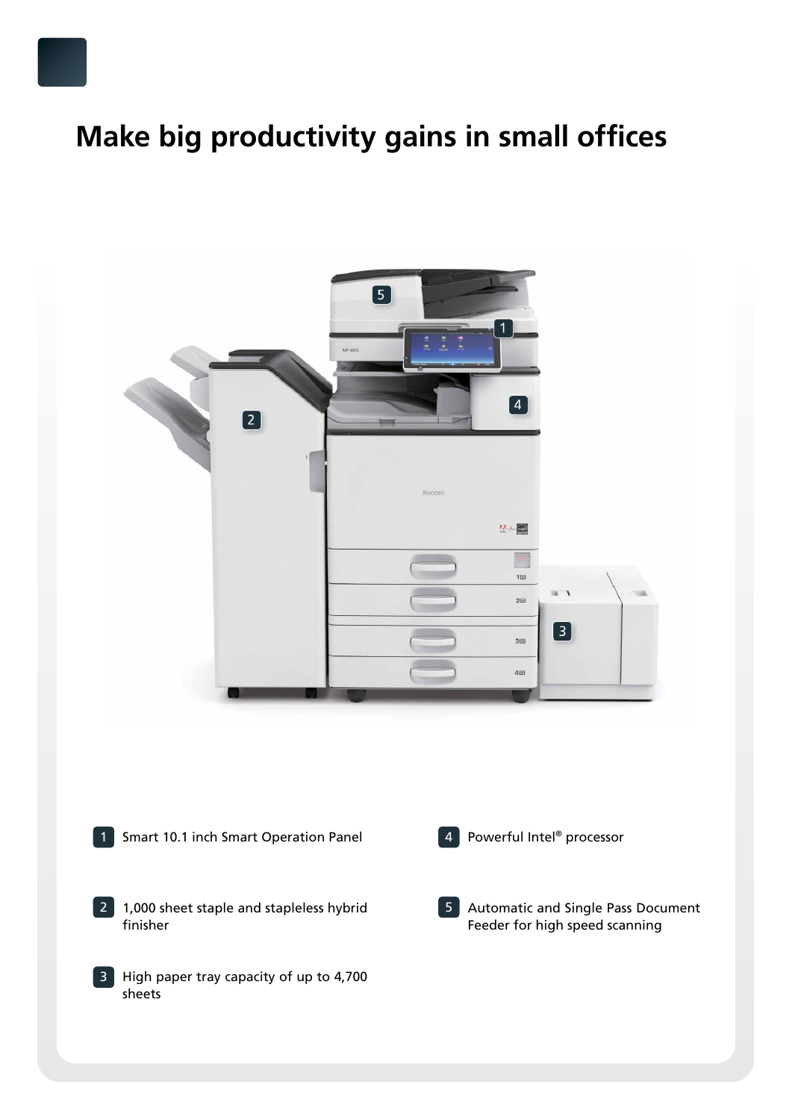# **Make big productivity gains in small offices**